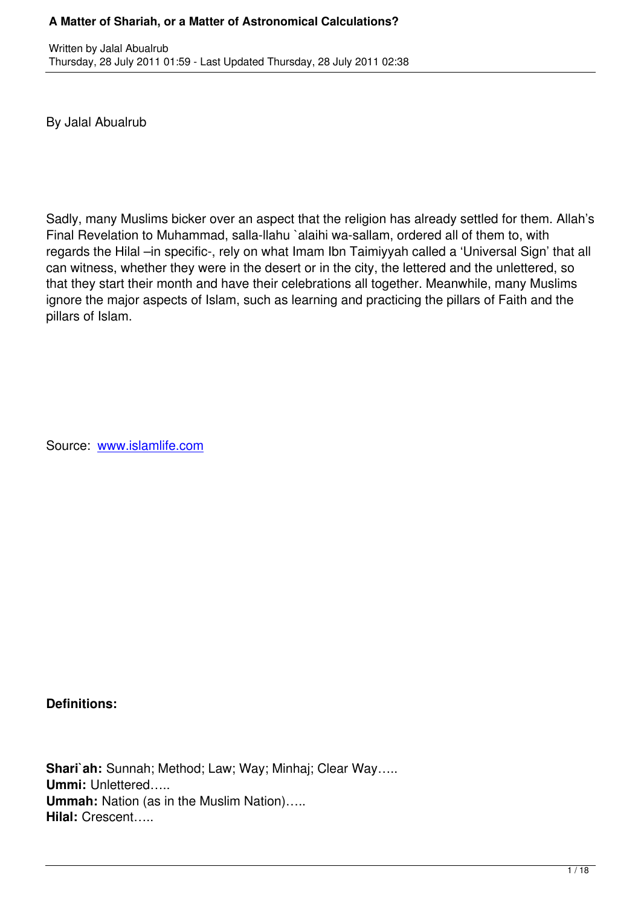By Jalal Abualrub

Written by Jalan Abualrubberg Jalan Abualrubberg Jalan Abualrubberg Jalan Abualrubberg Jalan Abualrubberg Jalan Abualrubberg Jalan Abualrubberg Jalan Abualrubberg Jalan Abualrubberg Jalan Abualrubberg Jalan Abualrubberg Ja

Sadly, many Muslims bicker over an aspect that the religion has already settled for them. Allah's Final Revelation to Muhammad, salla-llahu `alaihi wa-sallam, ordered all of them to, with regards the Hilal –in specific-, rely on what Imam Ibn Taimiyyah called a 'Universal Sign' that all can witness, whether they were in the desert or in the city, the lettered and the unlettered, so that they start their month and have their celebrations all together. Meanwhile, many Muslims ignore the major aspects of Islam, such as learning and practicing the pillars of Faith and the pillars of Islam.

Source: www.islamlife.com

**Definitions:**

**Shari`ah:** Sunnah; Method; Law; Way; Minhaj; Clear Way….. **Ummi:** Unlettered….. **Ummah:** Nation (as in the Muslim Nation)….. **Hilal:** Crescent…..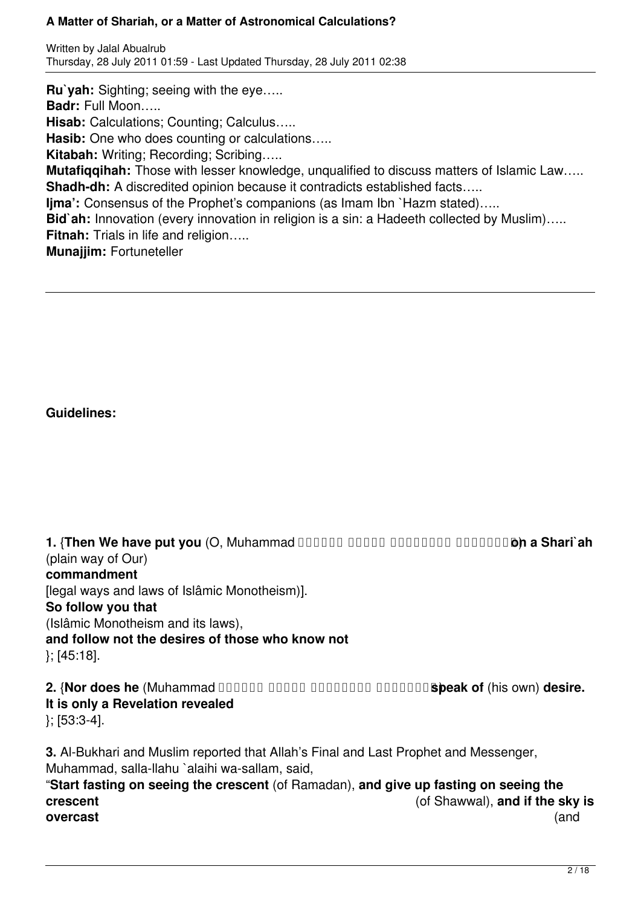Written by Jalal Abualrub Thursday, 28 July 2011 01:59 - Last Updated Thursday, 28 July 2011 02:38

**Ru`yah:** Sighting; seeing with the eye….. **Badr:** Full Moon….. **Hisab:** Calculations; Counting; Calculus….. **Hasib:** One who does counting or calculations….. **Kitabah:** Writing; Recording; Scribing….. **Mutafiqqihah:** Those with lesser knowledge, unqualified to discuss matters of Islamic Law….. **Shadh-dh:** A discredited opinion because it contradicts established facts….. **Ijma':** Consensus of the Prophet's companions (as Imam Ibn `Hazm stated)..... **Bid`ah:** Innovation (every innovation in religion is a sin: a Hadeeth collected by Muslim)….. **Fitnah:** Trials in life and religion….. **Munajjim:** Fortuneteller

## **Guidelines:**

**1. {Then We have put you (O, Muhammad DOODD DOODD DOODDDD DOODDDD a Shari'ah** (plain way of Our) **commandment** [legal ways and laws of Islâmic Monotheism)]. **So follow you that** (Islâmic Monotheism and its laws), **and follow not the desires of those who know not** }; [45:18]. **2. {Nor does he (Muhammad DODDD DODDD DODDDDD DODDDDDSpeak of (his own) desire.** 

## **It is only a Revelation revealed**

}; [53:3-4].

**3.** Al-Bukhari and Muslim reported that Allah's Final and Last Prophet and Messenger, Muhammad, salla-llahu `alaihi wa-sallam, said, "**Start fasting on seeing the crescent** (of Ramadan), **and give up fasting on seeing the crescent** (of Shawwal), **and if the sky is overcast** (and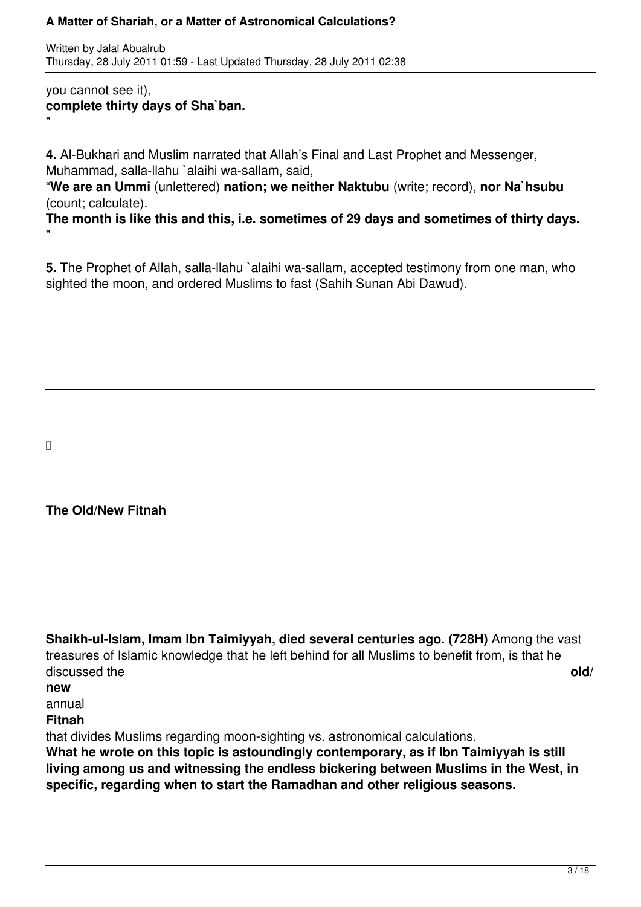Written by Jalal Abualrub Thursday, 28 July 2011 01:59 - Last Updated Thursday, 28 July 2011 02:38

### you cannot see it), **complete thirty days of Sha`ban.** "

**4.** Al-Bukhari and Muslim narrated that Allah's Final and Last Prophet and Messenger, Muhammad, salla-llahu `alaihi wa-sallam, said,

"**We are an Ummi** (unlettered) **nation; we neither Naktubu** (write; record), **nor Na`hsubu** (count; calculate).

**The month is like this and this, i.e. sometimes of 29 days and sometimes of thirty days.** "

**5.** The Prophet of Allah, salla-llahu `alaihi wa-sallam, accepted testimony from one man, who sighted the moon, and ordered Muslims to fast (Sahih Sunan Abi Dawud).

## **The Old/New Fitnah**

**Shaikh-ul-Islam, Imam Ibn Taimiyyah, died several centuries ago. (728H)** Among the vast treasures of Islamic knowledge that he left behind for all Muslims to benefit from, is that he discussed the **old/ new** annual **Fitnah** that divides Muslims regarding moon-sighting vs. astronomical calculations. **What he wrote on this topic is astoundingly contemporary, as if Ibn Taimiyyah is still living among us and witnessing the endless bickering between Muslims in the West, in specific, regarding when to start the Ramadhan and other religious seasons.**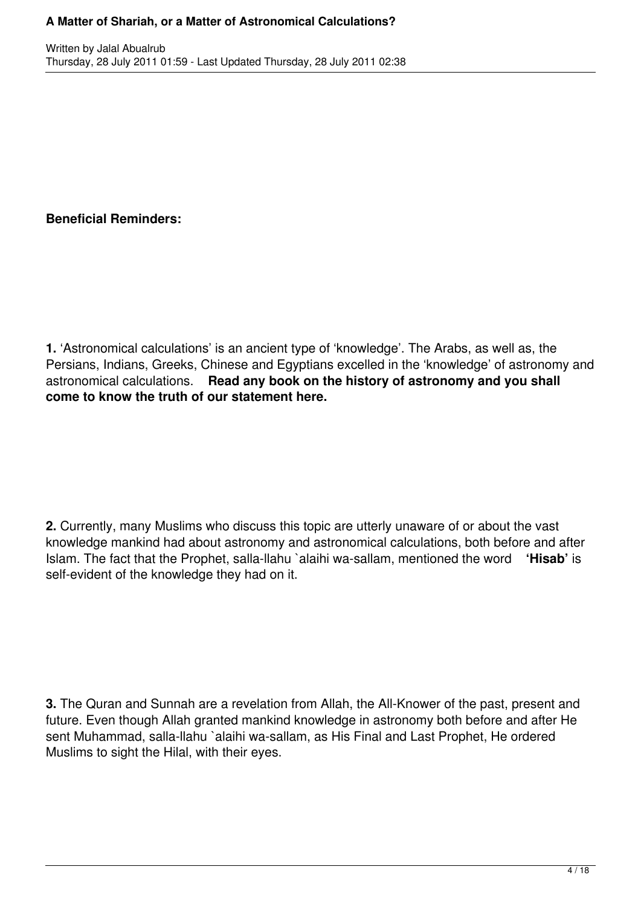## **Beneficial Reminders:**

**1.** 'Astronomical calculations' is an ancient type of 'knowledge'. The Arabs, as well as, the Persians, Indians, Greeks, Chinese and Egyptians excelled in the 'knowledge' of astronomy and astronomical calculations. **Read any book on the history of astronomy and you shall come to know the truth of our statement here.**

**2.** Currently, many Muslims who discuss this topic are utterly unaware of or about the vast knowledge mankind had about astronomy and astronomical calculations, both before and after Islam. The fact that the Prophet, salla-llahu `alaihi wa-sallam, mentioned the word **'Hisab'** is self-evident of the knowledge they had on it.

**3.** The Quran and Sunnah are a revelation from Allah, the All-Knower of the past, present and future. Even though Allah granted mankind knowledge in astronomy both before and after He sent Muhammad, salla-llahu `alaihi wa-sallam, as His Final and Last Prophet, He ordered Muslims to sight the Hilal, with their eyes.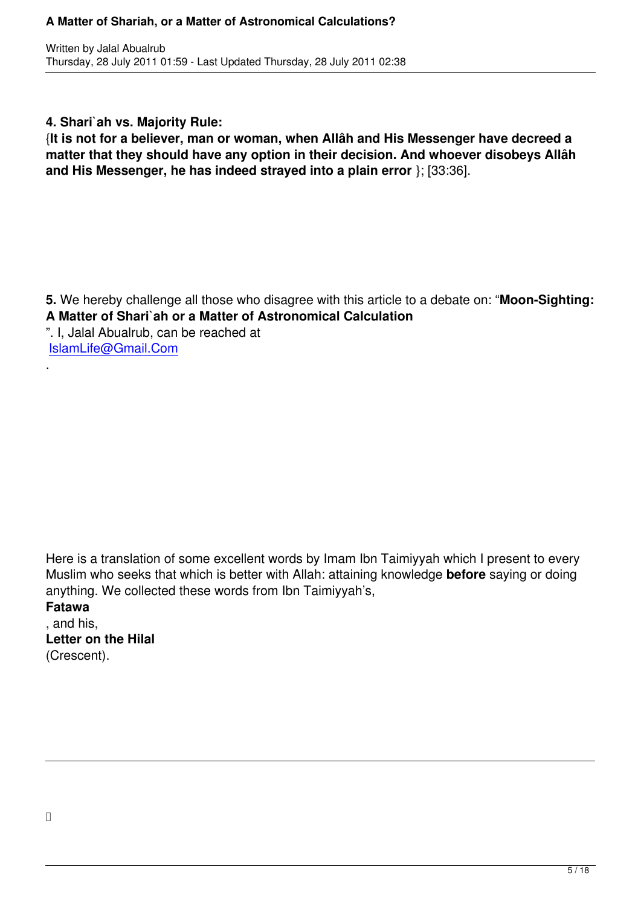**4. Shari`ah vs. Majority Rule:**

{**It is not for a believer, man or woman, when Allâh and His Messenger have decreed a matter that they should have any option in their decision. And whoever disobeys Allâh and His Messenger, he has indeed strayed into a plain error** }; [33:36].

**5.** We hereby challenge all those who disagree with this article to a debate on: "**Moon-Sighting: A Matter of Shari`ah or a Matter of Astronomical Calculation** ". I, Jalal Abualrub, can be reached at IslamLife@Gmail.Com

Here is a translation of some excellent words by Imam Ibn Taimiyyah which I present to every Muslim who seeks that which is better with Allah: attaining knowledge **before** saying or doing anything. We collected these words from Ibn Taimiyyah's,

**Fatawa**

.

, and his, **Letter on the Hilal** (Crescent).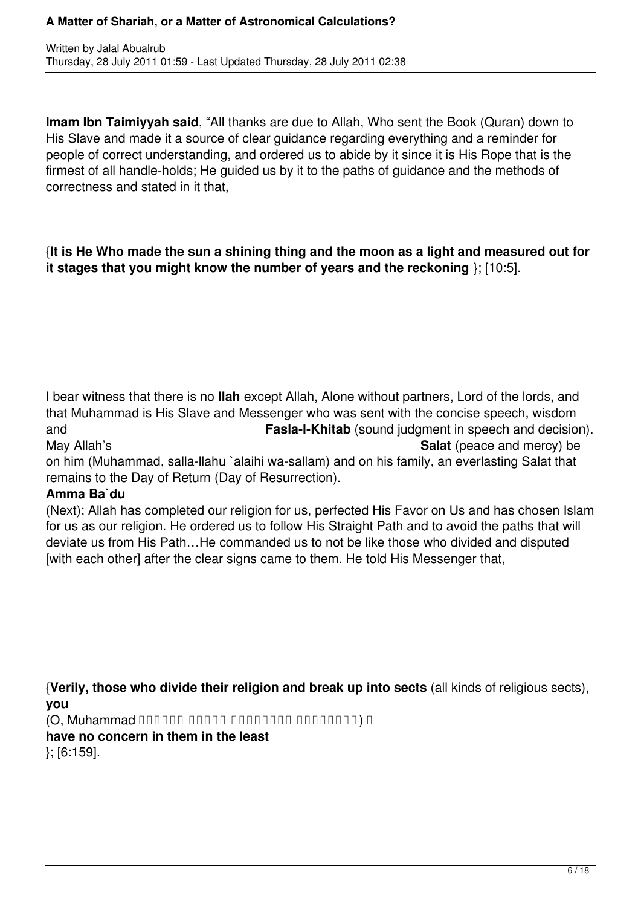**Imam Ibn Taimiyyah said**, "All thanks are due to Allah, Who sent the Book (Quran) down to His Slave and made it a source of clear guidance regarding everything and a reminder for people of correct understanding, and ordered us to abide by it since it is His Rope that is the firmest of all handle-holds; He guided us by it to the paths of guidance and the methods of correctness and stated in it that,

### {**It is He Who made the sun a shining thing and the moon as a light and measured out for it stages that you might know the number of years and the reckoning** }; [10:5].

I bear witness that there is no **Ilah** except Allah, Alone without partners, Lord of the lords, and that Muhammad is His Slave and Messenger who was sent with the concise speech, wisdom and **Fasla-l-Khitab** (sound judgment in speech and decision). May Allah's **Salat** (peace and mercy) be

on him (Muhammad, salla-llahu `alaihi wa-sallam) and on his family, an everlasting Salat that remains to the Day of Return (Day of Resurrection).

## **Amma Ba`du**

(Next): Allah has completed our religion for us, perfected His Favor on Us and has chosen Islam for us as our religion. He ordered us to follow His Straight Path and to avoid the paths that will deviate us from His Path…He commanded us to not be like those who divided and disputed [with each other] after the clear signs came to them. He told His Messenger that,

{**Verily, those who divide their religion and break up into sects** (all kinds of religious sects), **you**

ِ (َمَّلَوس ِهْيَلَع ُالله ىَّلَص Muhammad ,O(

**have no concern in them in the least** }; [6:159].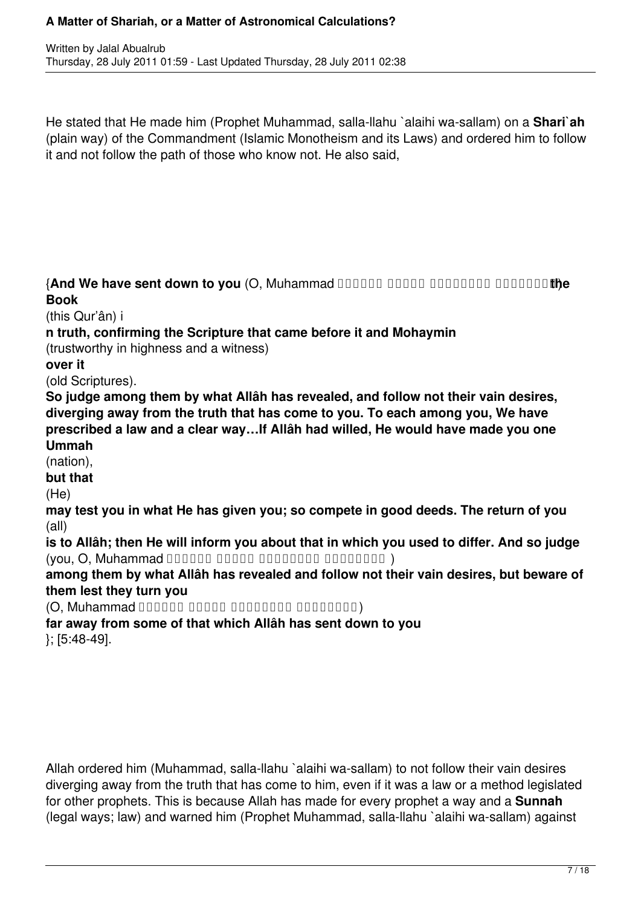Written by Jalal Abualrub Thursday, 28 July 2011 01:59 - Last Updated Thursday, 28 July 2011 02:38

He stated that He made him (Prophet Muhammad, salla-llahu `alaihi wa-sallam) on a **Shari`ah** (plain way) of the Commandment (Islamic Monotheism and its Laws) and ordered him to follow it and not follow the path of those who know not. He also said,

**{And We have sent down to you (O, Muhammad DODDDD DODDD DODDDDD DODDDD the Book**

(this Qur'ân) i

**n truth, confirming the Scripture that came before it and Mohaymin**

(trustworthy in highness and a witness)

**over it**

(old Scriptures).

**So judge among them by what Allâh has revealed, and follow not their vain desires, diverging away from the truth that has come to you. To each among you, We have prescribed a law and a clear way…If Allâh had willed, He would have made you one Ummah**

(nation),

**but that**

(He)

**may test you in what He has given you; so compete in good deeds. The return of you** (all)

**is to Allâh; then He will inform you about that in which you used to differ. And so judge**  $(you, O, Muhammad  $\Box$$ 

**among them by what Allâh has revealed and follow not their vain desires, but beware of them lest they turn you** 

(َمَّلَوس ِهْيَلَع ُالله ىَّلَص Muhammad ,O(

**far away from some of that which Allâh has sent down to you**

}; [5:48-49].

Allah ordered him (Muhammad, salla-llahu `alaihi wa-sallam) to not follow their vain desires diverging away from the truth that has come to him, even if it was a law or a method legislated for other prophets. This is because Allah has made for every prophet a way and a **Sunnah** (legal ways; law) and warned him (Prophet Muhammad, salla-llahu `alaihi wa-sallam) against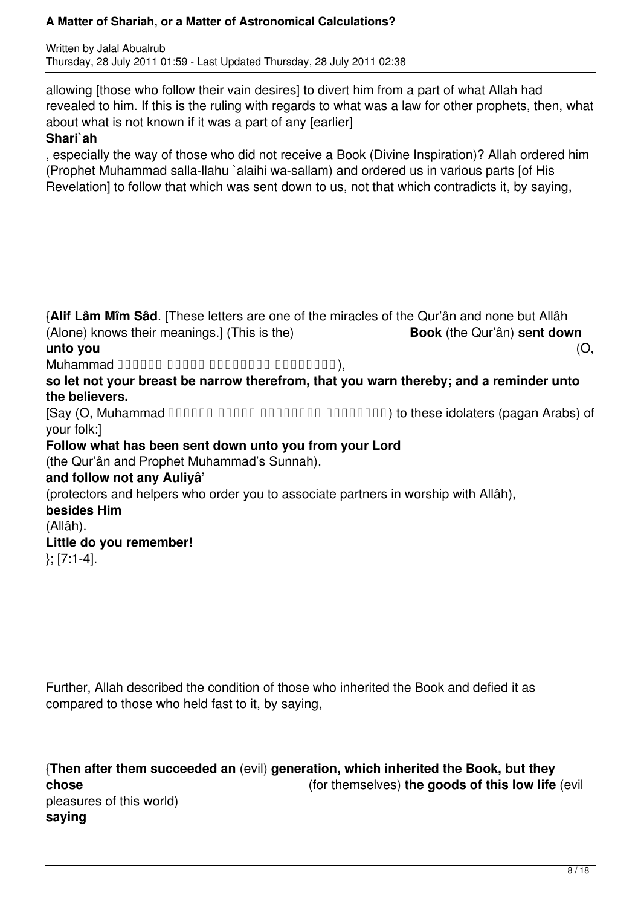Written by Jalal Abualrub Thursday, 28 July 2011 01:59 - Last Updated Thursday, 28 July 2011 02:38

allowing [those who follow their vain desires] to divert him from a part of what Allah had revealed to him. If this is the ruling with regards to what was a law for other prophets, then, what about what is not known if it was a part of any [earlier]

### **Shari`ah**

, especially the way of those who did not receive a Book (Divine Inspiration)? Allah ordered him (Prophet Muhammad salla-llahu `alaihi wa-sallam) and ordered us in various parts [of His Revelation] to follow that which was sent down to us, not that which contradicts it, by saying,

{**Alif Lâm Mîm Sâd**. [These letters are one of the miracles of the Qur'ân and none but Allâh (Alone) knows their meanings.] (This is the) **Book** (the Qur'ân) **sent down unto you** (O,  $Muhammad$  00000 00000 0000000 0000000), **so let not your breast be narrow therefrom, that you warn thereby; and a reminder unto the believers.**  $[Say (O, Muhammad 1111111111100]$   $[111111010111110110111100]$  to these idolaters (pagan Arabs) of your folk:] **Follow what has been sent down unto you from your Lord** (the Qur'ân and Prophet Muhammad's Sunnah), **and follow not any Auliyâ'** (protectors and helpers who order you to associate partners in worship with Allâh), **besides Him** (Allâh). **Little do you remember!** }; [7:1-4].

Further, Allah described the condition of those who inherited the Book and defied it as compared to those who held fast to it, by saying,

{**Then after them succeeded an** (evil) **generation, which inherited the Book, but they chose** (for themselves) **the goods of this low life** (evil pleasures of this world) **saying**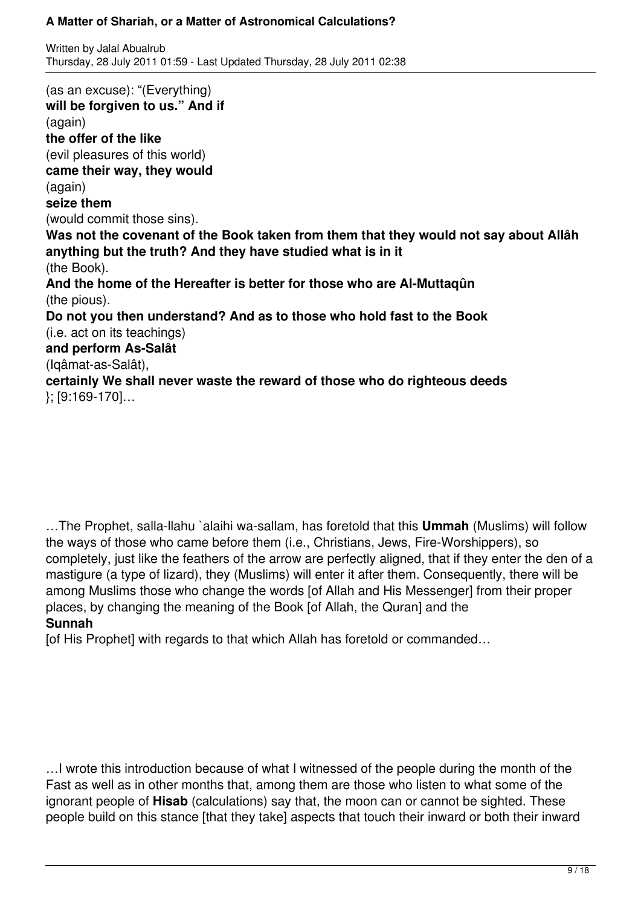Written by Jalal Abualrub Thursday, 28 July 2011 01:59 - Last Updated Thursday, 28 July 2011 02:38

(as an excuse): "(Everything) **will be forgiven to us." And if** (again) **the offer of the like** (evil pleasures of this world) **came their way, they would** (again) **seize them** (would commit those sins). **Was not the covenant of the Book taken from them that they would not say about Allâh anything but the truth? And they have studied what is in it** (the Book). **And the home of the Hereafter is better for those who are Al-Muttaqûn** (the pious). **Do not you then understand? And as to those who hold fast to the Book** (i.e. act on its teachings) **and perform As-Salât** (Iqâmat-as-Salât), **certainly We shall never waste the reward of those who do righteous deeds** }; [9:169-170]…

…The Prophet, salla-llahu `alaihi wa-sallam, has foretold that this **Ummah** (Muslims) will follow the ways of those who came before them (i.e., Christians, Jews, Fire-Worshippers), so completely, just like the feathers of the arrow are perfectly aligned, that if they enter the den of a mastigure (a type of lizard), they (Muslims) will enter it after them. Consequently, there will be among Muslims those who change the words [of Allah and His Messenger] from their proper places, by changing the meaning of the Book [of Allah, the Quran] and the **Sunnah**

[of His Prophet] with regards to that which Allah has foretold or commanded…

…I wrote this introduction because of what I witnessed of the people during the month of the Fast as well as in other months that, among them are those who listen to what some of the ignorant people of **Hisab** (calculations) say that, the moon can or cannot be sighted. These people build on this stance [that they take] aspects that touch their inward or both their inward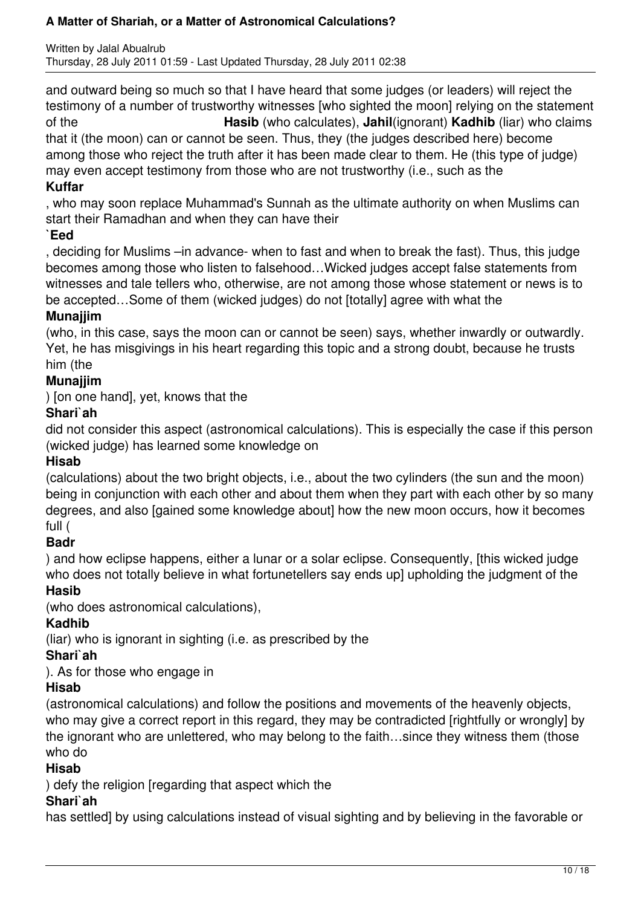Written by Jalal Abualrub Thursday, 28 July 2011 01:59 - Last Updated Thursday, 28 July 2011 02:38

and outward being so much so that I have heard that some judges (or leaders) will reject the testimony of a number of trustworthy witnesses [who sighted the moon] relying on the statement of the **Hasib** (who calculates), **Jahil**(ignorant) **Kadhib** (liar) who claims that it (the moon) can or cannot be seen. Thus, they (the judges described here) become among those who reject the truth after it has been made clear to them. He (this type of judge) may even accept testimony from those who are not trustworthy (i.e., such as the

## **Kuffar**

, who may soon replace Muhammad's Sunnah as the ultimate authority on when Muslims can start their Ramadhan and when they can have their

#### **`Eed**

, deciding for Muslims –in advance- when to fast and when to break the fast). Thus, this judge becomes among those who listen to falsehood…Wicked judges accept false statements from witnesses and tale tellers who, otherwise, are not among those whose statement or news is to be accepted…Some of them (wicked judges) do not [totally] agree with what the

## **Munajjim**

(who, in this case, says the moon can or cannot be seen) says, whether inwardly or outwardly. Yet, he has misgivings in his heart regarding this topic and a strong doubt, because he trusts him (the

## **Munajjim**

) [on one hand], yet, knows that the

## **Shari`ah**

did not consider this aspect (astronomical calculations). This is especially the case if this person (wicked judge) has learned some knowledge on

## **Hisab**

(calculations) about the two bright objects, i.e., about the two cylinders (the sun and the moon) being in conjunction with each other and about them when they part with each other by so many degrees, and also [gained some knowledge about] how the new moon occurs, how it becomes full (

## **Badr**

) and how eclipse happens, either a lunar or a solar eclipse. Consequently, [this wicked judge who does not totally believe in what fortunetellers say ends upl upholding the judgment of the

## **Hasib**

(who does astronomical calculations),

## **Kadhib**

(liar) who is ignorant in sighting (i.e. as prescribed by the

## **Shari`ah**

). As for those who engage in

## **Hisab**

(astronomical calculations) and follow the positions and movements of the heavenly objects, who may give a correct report in this regard, they may be contradicted [rightfully or wrongly] by the ignorant who are unlettered, who may belong to the faith…since they witness them (those who do

## **Hisab**

) defy the religion [regarding that aspect which the

## **Shari`ah**

has settled] by using calculations instead of visual sighting and by believing in the favorable or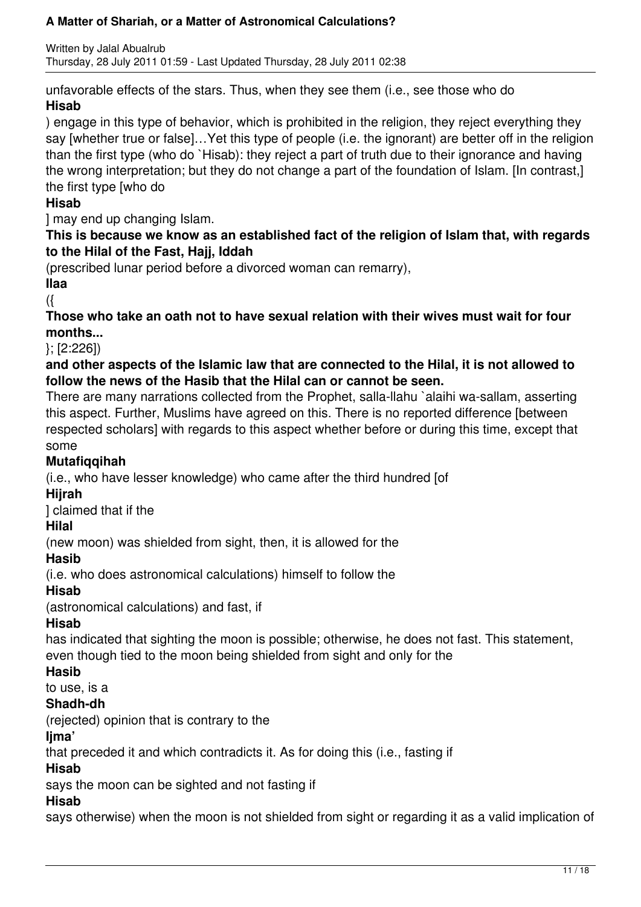Written by Jalal Abualrub Thursday, 28 July 2011 01:59 - Last Updated Thursday, 28 July 2011 02:38

unfavorable effects of the stars. Thus, when they see them (i.e., see those who do **Hisab**

) engage in this type of behavior, which is prohibited in the religion, they reject everything they say [whether true or false]…Yet this type of people (i.e. the ignorant) are better off in the religion than the first type (who do `Hisab): they reject a part of truth due to their ignorance and having the wrong interpretation; but they do not change a part of the foundation of Islam. [In contrast,] the first type [who do

## **Hisab**

] may end up changing Islam.

## **This is because we know as an established fact of the religion of Islam that, with regards to the Hilal of the Fast, Hajj, Iddah**

(prescribed lunar period before a divorced woman can remarry),

## **Ilaa**

({

## **Those who take an oath not to have sexual relation with their wives must wait for four months...**

}; [2:226])

## **and other aspects of the Islamic law that are connected to the Hilal, it is not allowed to follow the news of the Hasib that the Hilal can or cannot be seen.**

There are many narrations collected from the Prophet, salla-llahu `alaihi wa-sallam, asserting this aspect. Further, Muslims have agreed on this. There is no reported difference [between respected scholars] with regards to this aspect whether before or during this time, except that some

## **Mutafiqqihah**

(i.e., who have lesser knowledge) who came after the third hundred [of

## **Hijrah**

] claimed that if the

## **Hilal**

(new moon) was shielded from sight, then, it is allowed for the

## **Hasib**

(i.e. who does astronomical calculations) himself to follow the

## **Hisab**

(astronomical calculations) and fast, if

## **Hisab**

has indicated that sighting the moon is possible; otherwise, he does not fast. This statement, even though tied to the moon being shielded from sight and only for the

## **Hasib**

to use, is a

## **Shadh-dh**

(rejected) opinion that is contrary to the

## **Ijma'**

that preceded it and which contradicts it. As for doing this (i.e., fasting if

## **Hisab**

says the moon can be sighted and not fasting if

## **Hisab**

says otherwise) when the moon is not shielded from sight or regarding it as a valid implication of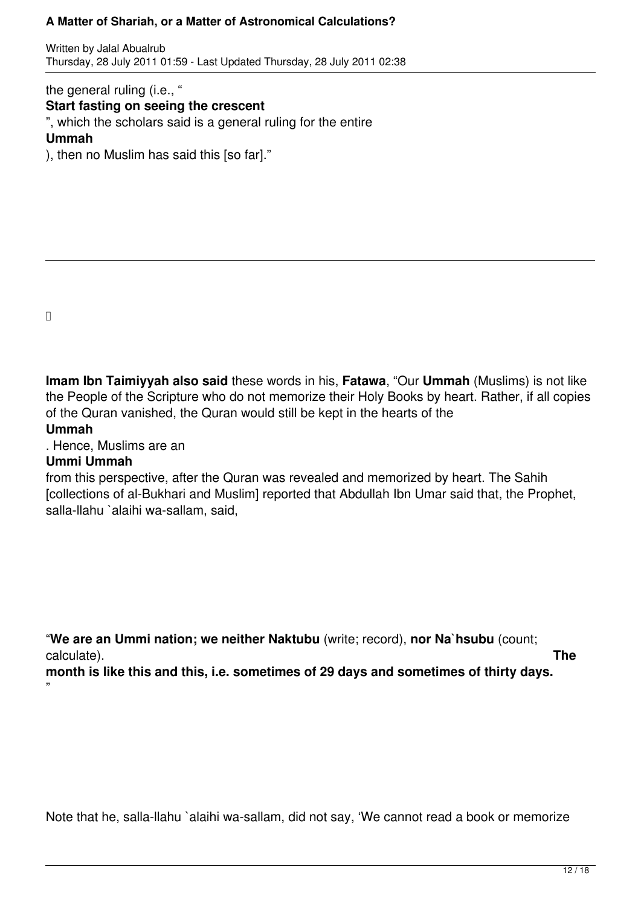Written by Jalal Abualrub Thursday, 28 July 2011 01:59 - Last Updated Thursday, 28 July 2011 02:38

the general ruling (i.e., "

#### **Start fasting on seeing the crescent**

", which the scholars said is a general ruling for the entire

#### **Ummah**

), then no Muslim has said this [so far]."

 $\Box$ 

**Imam Ibn Taimiyyah also said** these words in his, **Fatawa**, "Our **Ummah** (Muslims) is not like the People of the Scripture who do not memorize their Holy Books by heart. Rather, if all copies of the Quran vanished, the Quran would still be kept in the hearts of the **Ummah**

# . Hence, Muslims are an

## **Ummi Ummah**

from this perspective, after the Quran was revealed and memorized by heart. The Sahih [collections of al-Bukhari and Muslim] reported that Abdullah Ibn Umar said that, the Prophet, salla-llahu `alaihi wa-sallam, said,

"**We are an Ummi nation; we neither Naktubu** (write; record), **nor Na`hsubu** (count; calculate). **The**

**month is like this and this, i.e. sometimes of 29 days and sometimes of thirty days.** "

Note that he, salla-llahu `alaihi wa-sallam, did not say, 'We cannot read a book or memorize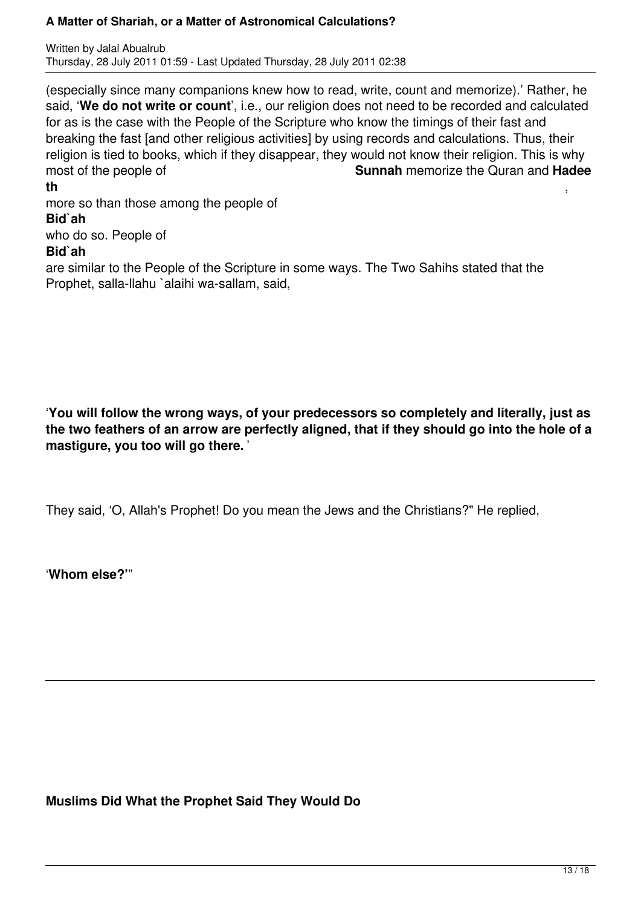Written by Jalal Abualrub Thursday, 28 July 2011 01:59 - Last Updated Thursday, 28 July 2011 02:38

(especially since many companions knew how to read, write, count and memorize).' Rather, he said, '**We do not write or count**', i.e., our religion does not need to be recorded and calculated for as is the case with the People of the Scripture who know the timings of their fast and breaking the fast [and other religious activities] by using records and calculations. Thus, their religion is tied to books, which if they disappear, they would not know their religion. This is why most of the people of **Sunnah** memorize the Quran and **Hadee th** ,

more so than those among the people of **Bid`ah** who do so. People of **Bid`ah**

are similar to the People of the Scripture in some ways. The Two Sahihs stated that the Prophet, salla-llahu `alaihi wa-sallam, said,

'**You will follow the wrong ways, of your predecessors so completely and literally, just as the two feathers of an arrow are perfectly aligned, that if they should go into the hole of a mastigure, you too will go there.** '

They said, 'O, Allah's Prophet! Do you mean the Jews and the Christians?" He replied,

'**Whom else?'**"

**Muslims Did What the Prophet Said They Would Do**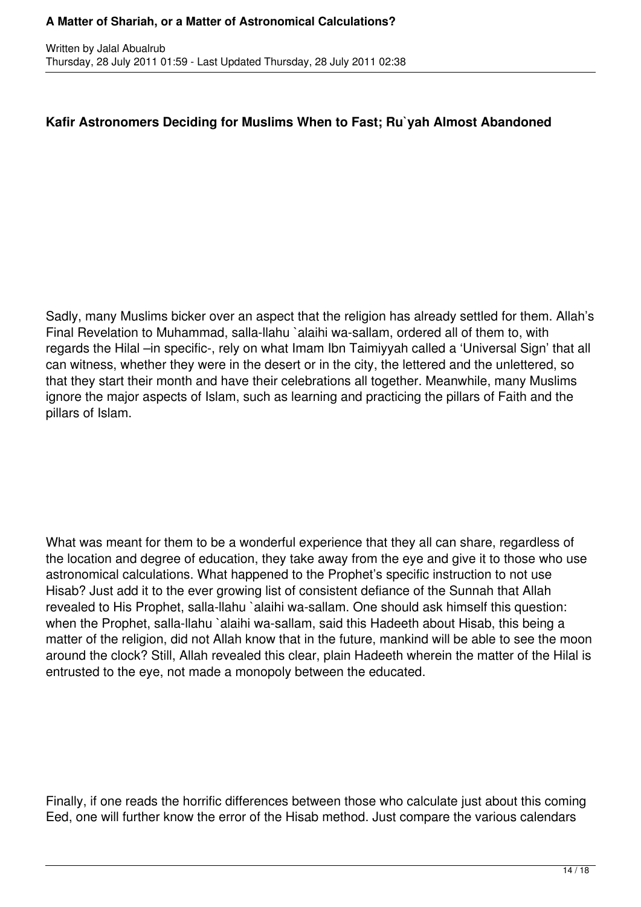## **Kafir Astronomers Deciding for Muslims When to Fast; Ru`yah Almost Abandoned**

Sadly, many Muslims bicker over an aspect that the religion has already settled for them. Allah's Final Revelation to Muhammad, salla-llahu `alaihi wa-sallam, ordered all of them to, with regards the Hilal –in specific-, rely on what Imam Ibn Taimiyyah called a 'Universal Sign' that all can witness, whether they were in the desert or in the city, the lettered and the unlettered, so that they start their month and have their celebrations all together. Meanwhile, many Muslims ignore the major aspects of Islam, such as learning and practicing the pillars of Faith and the pillars of Islam.

What was meant for them to be a wonderful experience that they all can share, regardless of the location and degree of education, they take away from the eye and give it to those who use astronomical calculations. What happened to the Prophet's specific instruction to not use Hisab? Just add it to the ever growing list of consistent defiance of the Sunnah that Allah revealed to His Prophet, salla-llahu `alaihi wa-sallam. One should ask himself this question: when the Prophet, salla-llahu `alaihi wa-sallam, said this Hadeeth about Hisab, this being a matter of the religion, did not Allah know that in the future, mankind will be able to see the moon around the clock? Still, Allah revealed this clear, plain Hadeeth wherein the matter of the Hilal is entrusted to the eye, not made a monopoly between the educated.

Finally, if one reads the horrific differences between those who calculate just about this coming Eed, one will further know the error of the Hisab method. Just compare the various calendars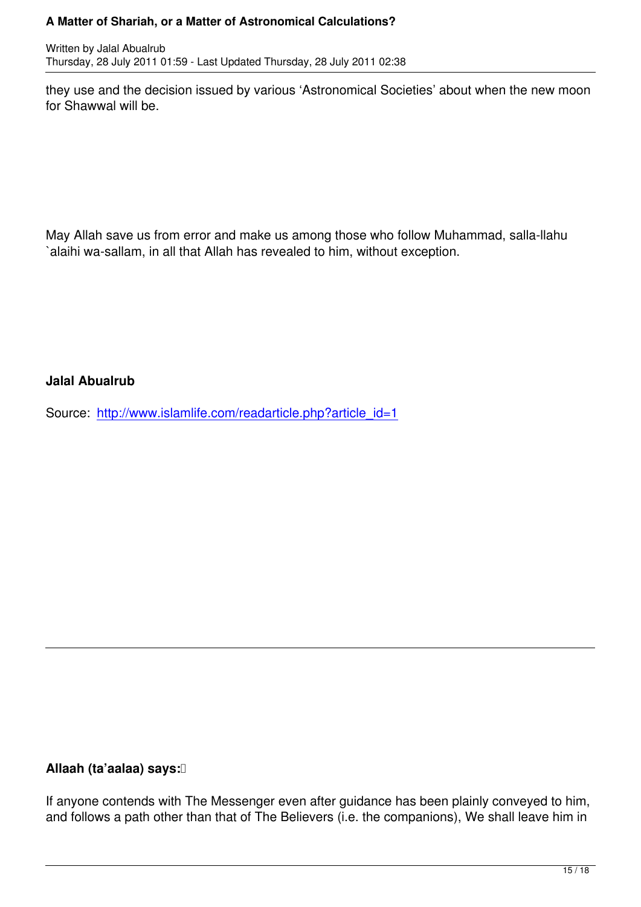they use and the decision issued by various 'Astronomical Societies' about when the new moon for Shawwal will be.

May Allah save us from error and make us among those who follow Muhammad, salla-llahu `alaihi wa-sallam, in all that Allah has revealed to him, without exception.

**Jalal Abualrub**

Source: http://www.islamlife.com/readarticle.php?article\_id=1

## **Allaah (ta'aalaa) says:**

If anyone contends with The Messenger even after guidance has been plainly conveyed to him, and follows a path other than that of The Believers (i.e. the companions), We shall leave him in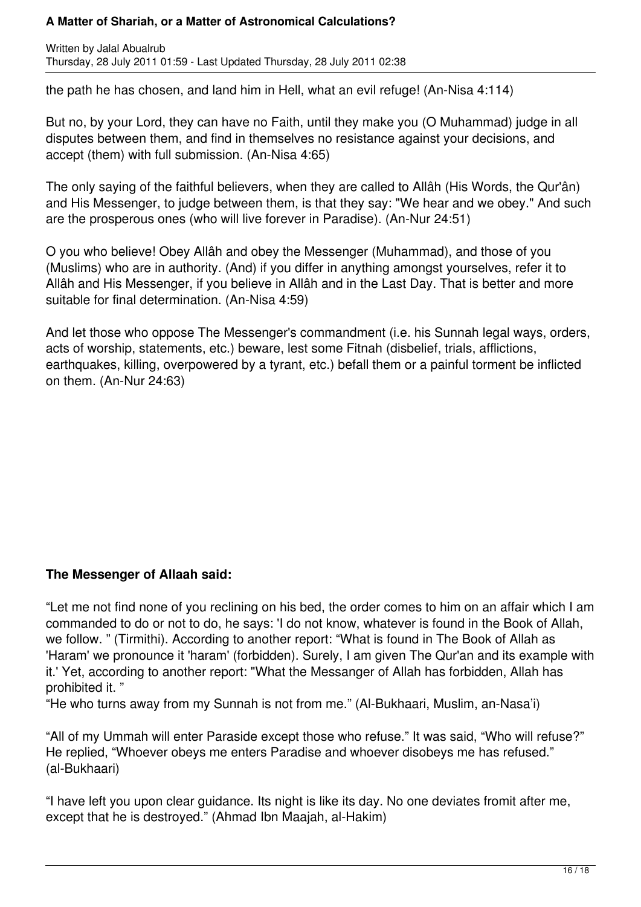Written by Jalal Abualrub Thursday, 28 July 2011 01:59 - Last Updated Thursday, 28 July 2011 02:38

the path he has chosen, and land him in Hell, what an evil refuge! (An-Nisa 4:114)

But no, by your Lord, they can have no Faith, until they make you (O Muhammad) judge in all disputes between them, and find in themselves no resistance against your decisions, and accept (them) with full submission. (An-Nisa 4:65)

The only saying of the faithful believers, when they are called to Allâh (His Words, the Qur'ân) and His Messenger, to judge between them, is that they say: "We hear and we obey." And such are the prosperous ones (who will live forever in Paradise). (An-Nur 24:51)

O you who believe! Obey Allâh and obey the Messenger (Muhammad), and those of you (Muslims) who are in authority. (And) if you differ in anything amongst yourselves, refer it to Allâh and His Messenger, if you believe in Allâh and in the Last Day. That is better and more suitable for final determination. (An-Nisa 4:59)

And let those who oppose The Messenger's commandment (i.e. his Sunnah legal ways, orders, acts of worship, statements, etc.) beware, lest some Fitnah (disbelief, trials, afflictions, earthquakes, killing, overpowered by a tyrant, etc.) befall them or a painful torment be inflicted on them. (An-Nur 24:63)

## **The Messenger of Allaah said:**

"Let me not find none of you reclining on his bed, the order comes to him on an affair which I am commanded to do or not to do, he says: 'I do not know, whatever is found in the Book of Allah, we follow. " (Tirmithi). According to another report: "What is found in The Book of Allah as 'Haram' we pronounce it 'haram' (forbidden). Surely, I am given The Qur'an and its example with it.' Yet, according to another report: "What the Messanger of Allah has forbidden, Allah has prohibited it. "

"He who turns away from my Sunnah is not from me." (Al-Bukhaari, Muslim, an-Nasa'i)

"All of my Ummah will enter Paraside except those who refuse." It was said, "Who will refuse?" He replied, "Whoever obeys me enters Paradise and whoever disobeys me has refused." (al-Bukhaari)

"I have left you upon clear guidance. Its night is like its day. No one deviates fromit after me, except that he is destroyed." (Ahmad Ibn Maajah, al-Hakim)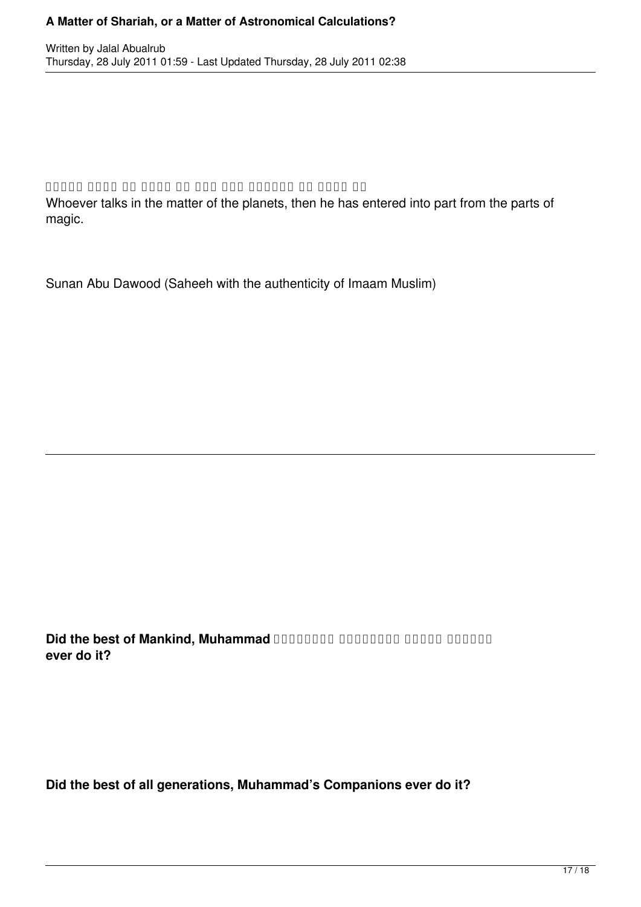#### annan onnan on onnan onnan onnannan on ö

Whoever talks in the matter of the planets, then he has entered into part from the parts of magic.

Sunan Abu Dawood (Saheeh with the authenticity of Imaam Muslim)

 صَلَّى اللهُ عَلَيْهِ وسَلَّم َ**Muhammad ,Mankind of best the Did ever do it?**

**Did the best of all generations, Muhammad's Companions ever do it?**